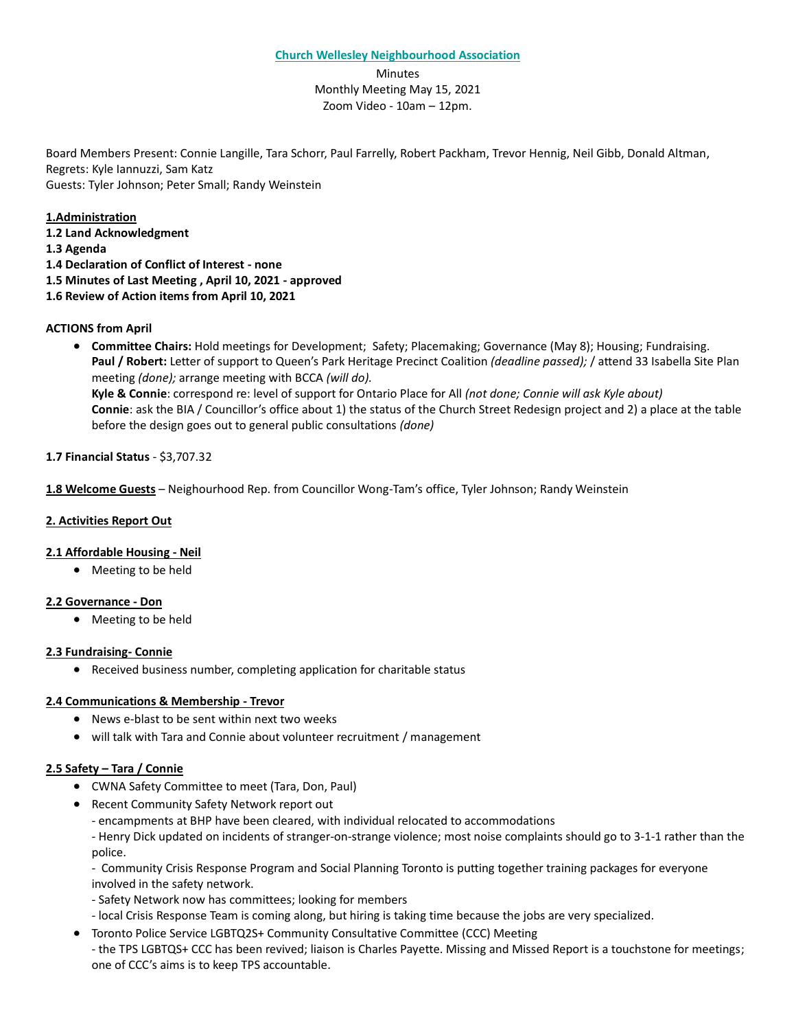Minutes Monthly Meeting May 15, 2021 Zoom Video - 10am – 12pm.

Board Members Present: Connie Langille, Tara Schorr, Paul Farrelly, Robert Packham, Trevor Hennig, Neil Gibb, Donald Altman, Regrets: Kyle Iannuzzi, Sam Katz Guests: Tyler Johnson; Peter Small; Randy Weinstein

**1.Administration 1.2 Land Acknowledgment 1.3 Agenda**

**1.4 Declaration of Conflict of Interest - none**

**1.5 Minutes of Last Meeting , April 10, 2021 - approved**

**1.6 Review of Action items from April 10, 2021**

## **ACTIONS from April**

• **Committee Chairs:** Hold meetings for Development; Safety; Placemaking; Governance (May 8); Housing; Fundraising. **Paul / Robert:** Letter of support to Queen's Park Heritage Precinct Coalition *(deadline passed);* / attend 33 Isabella Site Plan meeting *(done);* arrange meeting with BCCA *(will do).* **Kyle & Connie**: correspond re: level of support for Ontario Place for All *(not done; Connie will ask Kyle about)* **Connie**: ask the BIA / Councillor's office about 1) the status of the Church Street Redesign project and 2) a place at the table before the design goes out to general public consultations *(done)*

## **1.7 Financial Status** - \$3,707.32

**1.8 Welcome Guests** – Neighourhood Rep. from Councillor Wong-Tam's office, Tyler Johnson; Randy Weinstein

## **2. Activities Report Out**

### **2.1 Affordable Housing - Neil**

• Meeting to be held

### **2.2 Governance - Don**

• Meeting to be held

### **2.3 Fundraising- Connie**

• Received business number, completing application for charitable status

### **2.4 Communications & Membership - Trevor**

- News e-blast to be sent within next two weeks
- will talk with Tara and Connie about volunteer recruitment / management

# **2.5 Safety – Tara / Connie**

- CWNA Safety Committee to meet (Tara, Don, Paul)
- Recent Community Safety Network report out
	- encampments at BHP have been cleared, with individual relocated to accommodations

- Henry Dick updated on incidents of stranger-on-strange violence; most noise complaints should go to 3-1-1 rather than the police.

- Community Crisis Response Program and Social Planning Toronto is putting together training packages for everyone involved in the safety network.

- Safety Network now has committees; looking for members
- local Crisis Response Team is coming along, but hiring is taking time because the jobs are very specialized.
- Toronto Police Service LGBTQ2S+ Community Consultative Committee (CCC) Meeting - the TPS LGBTQS+ CCC has been revived; liaison is Charles Payette. Missing and Missed Report is a touchstone for meetings; one of CCC's aims is to keep TPS accountable.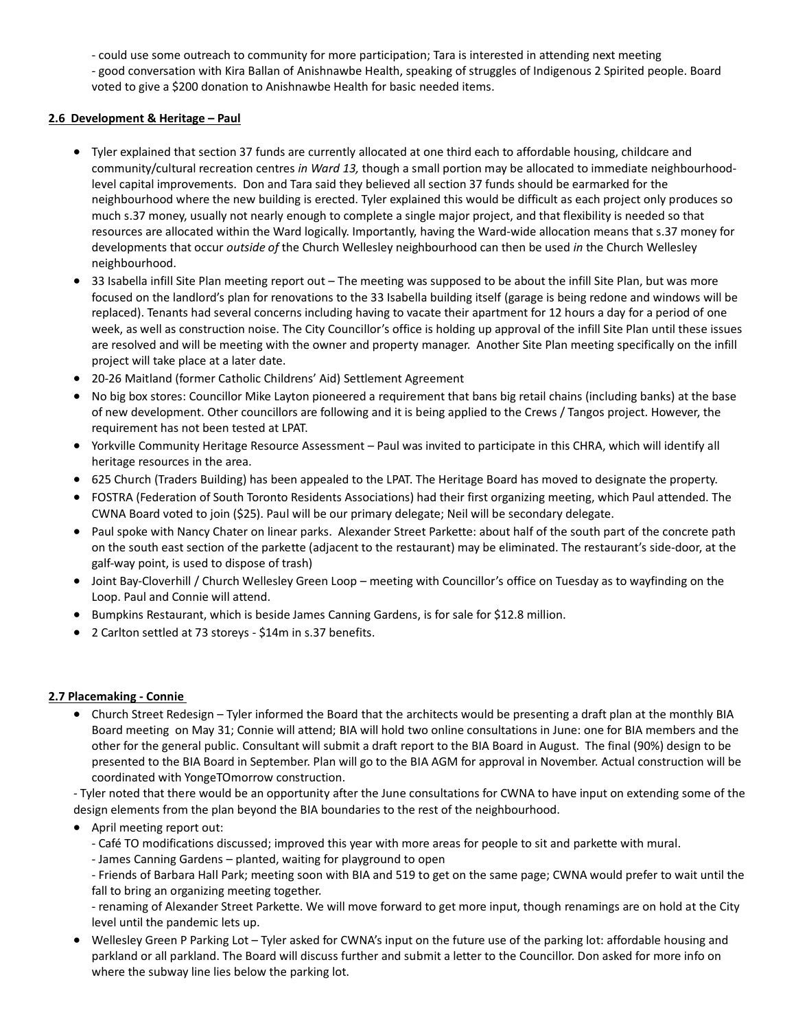- could use some outreach to community for more participation; Tara is interested in attending next meeting

- good conversation with Kira Ballan of Anishnawbe Health, speaking of struggles of Indigenous 2 Spirited people. Board voted to give a \$200 donation to Anishnawbe Health for basic needed items.

## **2.6 Development & Heritage – Paul**

- Tyler explained that section 37 funds are currently allocated at one third each to affordable housing, childcare and community/cultural recreation centres *in Ward 13,* though a small portion may be allocated to immediate neighbourhoodlevel capital improvements. Don and Tara said they believed all section 37 funds should be earmarked for the neighbourhood where the new building is erected. Tyler explained this would be difficult as each project only produces so much s.37 money, usually not nearly enough to complete a single major project, and that flexibility is needed so that resources are allocated within the Ward logically. Importantly, having the Ward-wide allocation means that s.37 money for developments that occur *outside of* the Church Wellesley neighbourhood can then be used *in* the Church Wellesley neighbourhood.
- 33 Isabella infill Site Plan meeting report out The meeting was supposed to be about the infill Site Plan, but was more focused on the landlord's plan for renovations to the 33 Isabella building itself (garage is being redone and windows will be replaced). Tenants had several concerns including having to vacate their apartment for 12 hours a day for a period of one week, as well as construction noise. The City Councillor's office is holding up approval of the infill Site Plan until these issues are resolved and will be meeting with the owner and property manager. Another Site Plan meeting specifically on the infill project will take place at a later date.
- 20-26 Maitland (former Catholic Childrens' Aid) Settlement Agreement
- No big box stores: Councillor Mike Layton pioneered a requirement that bans big retail chains (including banks) at the base of new development. Other councillors are following and it is being applied to the Crews / Tangos project. However, the requirement has not been tested at LPAT.
- Yorkville Community Heritage Resource Assessment Paul was invited to participate in this CHRA, which will identify all heritage resources in the area.
- 625 Church (Traders Building) has been appealed to the LPAT. The Heritage Board has moved to designate the property.
- FOSTRA (Federation of South Toronto Residents Associations) had their first organizing meeting, which Paul attended. The CWNA Board voted to join (\$25). Paul will be our primary delegate; Neil will be secondary delegate.
- Paul spoke with Nancy Chater on linear parks. Alexander Street Parkette: about half of the south part of the concrete path on the south east section of the parkette (adjacent to the restaurant) may be eliminated. The restaurant's side-door, at the galf-way point, is used to dispose of trash)
- Joint Bay-Cloverhill / Church Wellesley Green Loop meeting with Councillor's office on Tuesday as to wayfinding on the Loop. Paul and Connie will attend.
- Bumpkins Restaurant, which is beside James Canning Gardens, is for sale for \$12.8 million.
- 2 Carlton settled at 73 storeys \$14m in s.37 benefits.

### **2.7 Placemaking - Connie**

• Church Street Redesign – Tyler informed the Board that the architects would be presenting a draft plan at the monthly BIA Board meeting on May 31; Connie will attend; BIA will hold two online consultations in June: one for BIA members and the other for the general public. Consultant will submit a draft report to the BIA Board in August. The final (90%) design to be presented to the BIA Board in September. Plan will go to the BIA AGM for approval in November. Actual construction will be coordinated with YongeTOmorrow construction.

- Tyler noted that there would be an opportunity after the June consultations for CWNA to have input on extending some of the design elements from the plan beyond the BIA boundaries to the rest of the neighbourhood.

- April meeting report out:
	- Café TO modifications discussed; improved this year with more areas for people to sit and parkette with mural.
	- James Canning Gardens planted, waiting for playground to open

- Friends of Barbara Hall Park; meeting soon with BIA and 519 to get on the same page; CWNA would prefer to wait until the fall to bring an organizing meeting together.

- renaming of Alexander Street Parkette. We will move forward to get more input, though renamings are on hold at the City level until the pandemic lets up.

• Wellesley Green P Parking Lot – Tyler asked for CWNA's input on the future use of the parking lot: affordable housing and parkland or all parkland. The Board will discuss further and submit a letter to the Councillor. Don asked for more info on where the subway line lies below the parking lot.